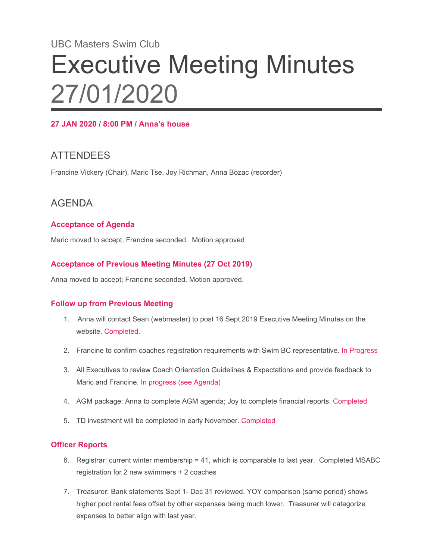# UBC Masters Swim Club Executive Meeting Minutes 27/01/2020

#### **27 JAN 2020 / 8:00 PM / Anna's house**

## **ATTENDEES**

Francine Vickery (Chair), Maric Tse, Joy Richman, Anna Bozac (recorder)

## AGENDA

#### **Acceptance of Agenda**

Maric moved to accept; Francine seconded. Motion approved

#### **Acceptance of Previous Meeting Minutes (27 Oct 2019)**

Anna moved to accept; Francine seconded. Motion approved.

#### **Follow up from Previous Meeting**

- 1. Anna will contact Sean (webmaster) to post 16 Sept 2019 Executive Meeting Minutes on the website. Completed.
- 2. Francine to confirm coaches registration requirements with Swim BC representative. In Progress
- 3. All Executives to review Coach Orientation Guidelines & Expectations and provide feedback to Maric and Francine. In progress (see Agenda)
- 4. AGM package: Anna to complete AGM agenda; Joy to complete financial reports. Completed
- 5. TD investment will be completed in early November. Completed

#### **Officer Reports**

- 6. Registrar: current winter membership = 41, which is comparable to last year. Completed MSABC registration for 2 new swimmers + 2 coaches
- 7. Treasurer: Bank statements Sept 1- Dec 31 reviewed. YOY comparison (same period) shows higher pool rental fees offset by other expenses being much lower. Treasurer will categorize expenses to better align with last year.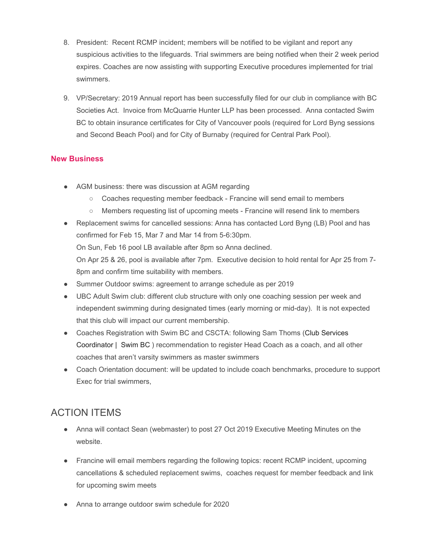- 8. President: Recent RCMP incident; members will be notified to be vigilant and report any suspicious activities to the lifeguards. Trial swimmers are being notified when their 2 week period expires. Coaches are now assisting with supporting Executive procedures implemented for trial swimmers.
- 9. VP/Secretary: 2019 Annual report has been successfully filed for our club in compliance with BC Societies Act. Invoice from McQuarrie Hunter LLP has been processed. Anna contacted Swim BC to obtain insurance certificates for City of Vancouver pools (required for Lord Byng sessions and Second Beach Pool) and for City of Burnaby (required for Central Park Pool).

#### **New Business**

- AGM business: there was discussion at AGM regarding
	- Coaches requesting member feedback Francine will send email to members
	- Members requesting list of upcoming meets Francine will resend link to members
- Replacement swims for cancelled sessions: Anna has contacted Lord Byng (LB) Pool and has confirmed for Feb 15, Mar 7 and Mar 14 from 5-6:30pm. On Sun, Feb 16 pool LB available after 8pm so Anna declined. On Apr 25 & 26, pool is available after 7pm. Executive decision to hold rental for Apr 25 from 7- 8pm and confirm time suitability with members.
- Summer Outdoor swims: agreement to arrange schedule as per 2019
- UBC Adult Swim club: different club structure with only one coaching session per week and independent swimming during designated times (early morning or mid-day). It is not expected that this club will impact our current membership.
- Coaches Registration with Swim BC and CSCTA: following Sam Thoms (Club Services Coordinator | Swim BC ) recommendation to register Head Coach as a coach, and all other coaches that aren't varsity swimmers as master swimmers
- Coach Orientation document: will be updated to include coach benchmarks, procedure to support Exec for trial swimmers,

### ACTION ITEMS

- Anna will contact Sean (webmaster) to post 27 Oct 2019 Executive Meeting Minutes on the website.
- Francine will email members regarding the following topics: recent RCMP incident, upcoming cancellations & scheduled replacement swims, coaches request for member feedback and link for upcoming swim meets
- Anna to arrange outdoor swim schedule for 2020